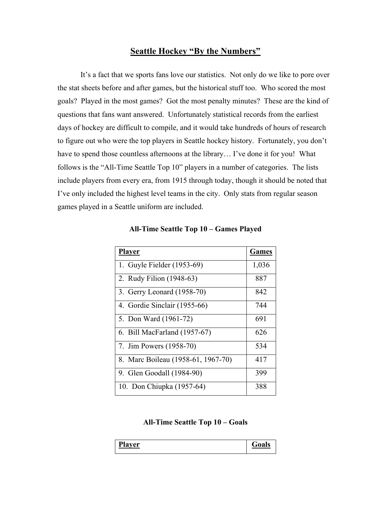## **Seattle Hockey "By the Numbers"**

It's a fact that we sports fans love our statistics. Not only do we like to pore over the stat sheets before and after games, but the historical stuff too. Who scored the most goals? Played in the most games? Got the most penalty minutes? These are the kind of questions that fans want answered. Unfortunately statistical records from the earliest days of hockey are difficult to compile, and it would take hundreds of hours of research to figure out who were the top players in Seattle hockey history. Fortunately, you don't have to spend those countless afternoons at the library... I've done it for you! What follows is the "All-Time Seattle Top 10" players in a number of categories. The lists include players from every era, from 1915 through today, though it should be noted that I've only included the highest level teams in the city. Only stats from regular season games played in a Seattle uniform are included.

| <b>Player</b>                      | <b>Games</b> |
|------------------------------------|--------------|
| 1. Guyle Fielder (1953-69)         | 1,036        |
| 2. Rudy Filion (1948-63)           | 887          |
| 3. Gerry Leonard (1958-70)         | 842          |
| 4. Gordie Sinclair (1955-66)       | 744          |
| 5. Don Ward (1961-72)              | 691          |
| 6. Bill MacFarland (1957-67)       | 626          |
| 7. Jim Powers (1958-70)            | 534          |
| 8. Marc Boileau (1958-61, 1967-70) | 417          |
| 9. Glen Goodall (1984-90)          | 399          |
| 10. Don Chiupka (1957-64)          | 388          |

**All-Time Seattle Top 10 – Games Played**

## **All-Time Seattle Top 10 – Goals**

| ית<br>$\sim$ 14<br>79 D | - |
|-------------------------|---|
|-------------------------|---|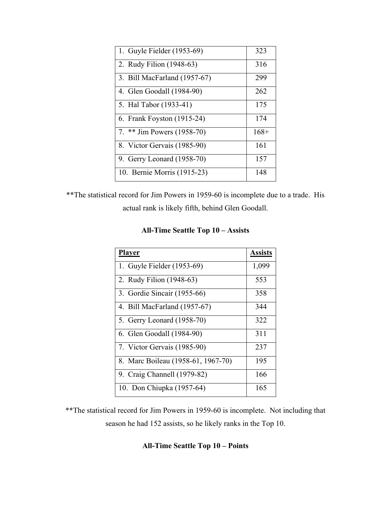| 1. Guyle Fielder (1953-69)   | 323    |
|------------------------------|--------|
| 2. Rudy Filion (1948-63)     | 316    |
| 3. Bill MacFarland (1957-67) | 299    |
| 4. Glen Goodall (1984-90)    | 262    |
| 5. Hal Tabor (1933-41)       | 175    |
| 6. Frank Foyston (1915-24)   | 174    |
| 7. ** Jim Powers (1958-70)   | $168+$ |
| 8. Victor Gervais (1985-90)  | 161    |
| 9. Gerry Leonard (1958-70)   | 157    |
| 10. Bernie Morris (1915-23)  | 148    |

\*\*The statistical record for Jim Powers in 1959-60 is incomplete due to a trade. His actual rank is likely fifth, behind Glen Goodall.

| <b>All-Time Seattle Top 10 – Assists</b> |  |  |  |
|------------------------------------------|--|--|--|
|------------------------------------------|--|--|--|

| Player                             | <b>Assists</b> |
|------------------------------------|----------------|
| 1. Guyle Fielder (1953-69)         | 1,099          |
| 2. Rudy Filion (1948-63)           | 553            |
| 3. Gordie Sincair (1955-66)        | 358            |
| 4. Bill MacFarland (1957-67)       | 344            |
| 5. Gerry Leonard (1958-70)         | 322            |
| 6. Glen Goodall (1984-90)          | 311            |
| 7. Victor Gervais (1985-90)        | 237            |
| 8. Marc Boileau (1958-61, 1967-70) | 195            |
| 9. Craig Channell (1979-82)        | 166            |
| 10. Don Chiupka (1957-64)          | 165            |

\*\*The statistical record for Jim Powers in 1959-60 is incomplete. Not including that season he had 152 assists, so he likely ranks in the Top 10.

## **All-Time Seattle Top 10 – Points**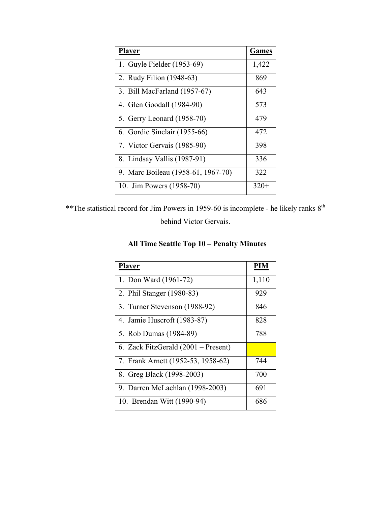| <b>Player</b>                      | <b>Games</b> |
|------------------------------------|--------------|
| 1. Guyle Fielder (1953-69)         | 1,422        |
| 2. Rudy Filion (1948-63)           | 869          |
| 3. Bill MacFarland (1957-67)       | 643          |
| 4. Glen Goodall (1984-90)          | 573          |
| 5. Gerry Leonard (1958-70)         | 479          |
| 6. Gordie Sinclair (1955-66)       | 472          |
| 7. Victor Gervais (1985-90)        | 398          |
| 8. Lindsay Vallis (1987-91)        | 336          |
| 9. Marc Boileau (1958-61, 1967-70) | 322          |
| 10. Jim Powers (1958-70)           | $320+$       |

\*\*The statistical record for Jim Powers in 1959-60 is incomplete - he likely ranks  $8^{th}$ behind Victor Gervais.

**All Time Seattle Top 10 – Penalty Minutes**

| <b>Player</b>                       | <b>PIM</b> |
|-------------------------------------|------------|
| 1. Don Ward (1961-72)               | 1,110      |
| 2. Phil Stanger (1980-83)           | 929        |
| 3. Turner Stevenson (1988-92)       | 846        |
| 4. Jamie Huscroft (1983-87)         | 828        |
| 5. Rob Dumas (1984-89)              | 788        |
| 6. Zack FitzGerald (2001 – Present) |            |
| 7. Frank Arnett (1952-53, 1958-62)  | 744        |
| 8. Greg Black (1998-2003)           | 700        |
| 9. Darren McLachlan (1998-2003)     | 691        |
| 10. Brendan Witt (1990-94)          | 686        |